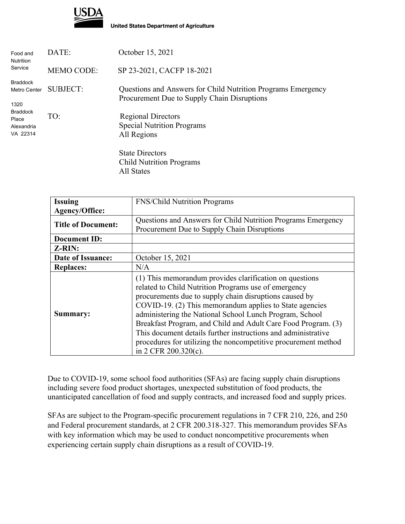

**United States Department of Agriculture** 

| Food and<br><b>Nutrition</b><br>Service            | DATE:             | October 15, 2021                                                                                            |
|----------------------------------------------------|-------------------|-------------------------------------------------------------------------------------------------------------|
|                                                    | <b>MEMO CODE:</b> | SP 23-2021, CACFP 18-2021                                                                                   |
| <b>Braddock</b><br>Metro Center<br>1320            | <b>SUBJECT:</b>   | Questions and Answers for Child Nutrition Programs Emergency<br>Procurement Due to Supply Chain Disruptions |
| <b>Braddock</b><br>Place<br>Alexandria<br>VA 22314 | TO:               | <b>Regional Directors</b><br><b>Special Nutrition Programs</b><br>All Regions                               |
|                                                    |                   | <b>State Directors</b><br><b>Child Nutrition Programs</b>                                                   |

All States

| <b>Issuing</b>            | <b>FNS/Child Nutrition Programs</b>                                                                                                                                       |
|---------------------------|---------------------------------------------------------------------------------------------------------------------------------------------------------------------------|
| <b>Agency/Office:</b>     |                                                                                                                                                                           |
| <b>Title of Document:</b> | Questions and Answers for Child Nutrition Programs Emergency                                                                                                              |
|                           | Procurement Due to Supply Chain Disruptions                                                                                                                               |
| <b>Document ID:</b>       |                                                                                                                                                                           |
| Z-RIN:                    |                                                                                                                                                                           |
| Date of Issuance:         | October 15, 2021                                                                                                                                                          |
| <b>Replaces:</b>          | N/A                                                                                                                                                                       |
|                           | (1) This memorandum provides clarification on questions<br>related to Child Nutrition Programs use of emergency<br>procurements due to supply chain disruptions caused by |
| Summary:                  | COVID-19. (2) This memorandum applies to State agencies<br>administering the National School Lunch Program, School                                                        |
|                           | Breakfast Program, and Child and Adult Care Food Program. (3)                                                                                                             |
|                           | This document details further instructions and administrative<br>procedures for utilizing the noncompetitive procurement method<br>in 2 CFR 200.320(c).                   |

Due to COVID-19, some school food authorities (SFAs) are facing supply chain disruptions including severe food product shortages, unexpected substitution of food products, the unanticipated cancellation of food and supply contracts, and increased food and supply prices.

SFAs are subject to the Program-specific procurement regulations in 7 CFR 210, 226, and 250 and Federal procurement standards, at 2 CFR 200.318-327. This memorandum provides SFAs with key information which may be used to conduct noncompetitive procurements when experiencing certain supply chain disruptions as a result of COVID-19.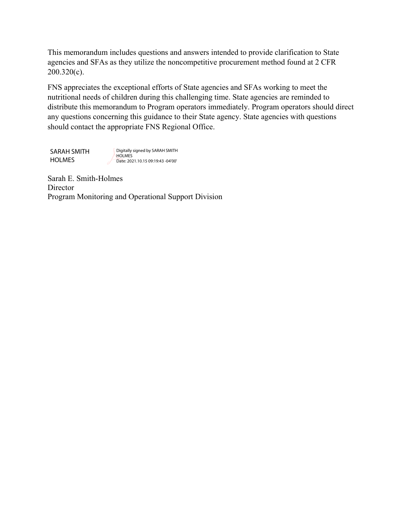This memorandum includes questions and answers intended to provide clarification to State agencies and SFAs as they utilize the noncompetitive procurement method found at 2 CFR 200.320(c).

FNS appreciates the exceptional efforts of State agencies and SFAs working to meet the nutritional needs of children during this challenging time. State agencies are reminded to distribute this memorandum to Program operators immediately. Program operators should direct any questions concerning this guidance to their State agency. State agencies with questions should contact the appropriate FNS Regional Office.

SARAH SMITH HOLMES

Digitally signed by SARAH SMITH **HOLMES** Date: 2021.10.15 09:19:43 -04'00'

Sarah E. Smith-Holmes **Director** Program Monitoring and Operational Support Division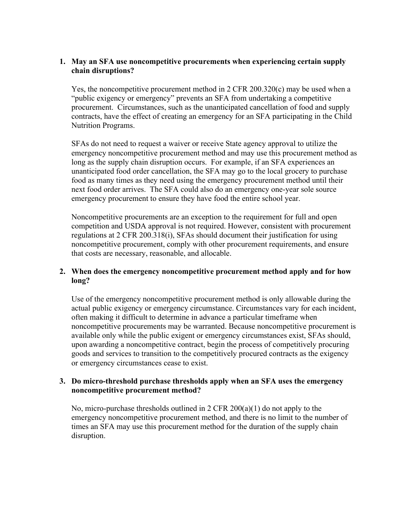# **1. May an SFA use noncompetitive procurements when experiencing certain supply chain disruptions?**

Yes, the noncompetitive procurement method in 2 CFR 200.320(c) may be used when a "public exigency or emergency" prevents an SFA from undertaking a competitive procurement. Circumstances, such as the unanticipated cancellation of food and supply contracts, have the effect of creating an emergency for an SFA participating in the Child Nutrition Programs.

SFAs do not need to request a waiver or receive State agency approval to utilize the emergency noncompetitive procurement method and may use this procurement method as long as the supply chain disruption occurs. For example, if an SFA experiences an unanticipated food order cancellation, the SFA may go to the local grocery to purchase food as many times as they need using the emergency procurement method until their next food order arrives. The SFA could also do an emergency one-year sole source emergency procurement to ensure they have food the entire school year.

Noncompetitive procurements are an exception to the requirement for full and open competition and USDA approval is not required. However, consistent with procurement regulations at 2 CFR 200.318(i), SFAs should document their justification for using noncompetitive procurement, comply with other procurement requirements, and ensure that costs are necessary, reasonable, and allocable.

## **2. When does the emergency noncompetitive procurement method apply and for how long?**

Use of the emergency noncompetitive procurement method is only allowable during the actual public exigency or emergency circumstance. Circumstances vary for each incident, often making it difficult to determine in advance a particular timeframe when noncompetitive procurements may be warranted. Because noncompetitive procurement is available only while the public exigent or emergency circumstances exist, SFAs should, upon awarding a noncompetitive contract, begin the process of competitively procuring goods and services to transition to the competitively procured contracts as the exigency or emergency circumstances cease to exist.

## **3. Do micro-threshold purchase thresholds apply when an SFA uses the emergency noncompetitive procurement method?**

No, micro-purchase thresholds outlined in 2 CFR  $200(a)(1)$  do not apply to the emergency noncompetitive procurement method, and there is no limit to the number of times an SFA may use this procurement method for the duration of the supply chain disruption.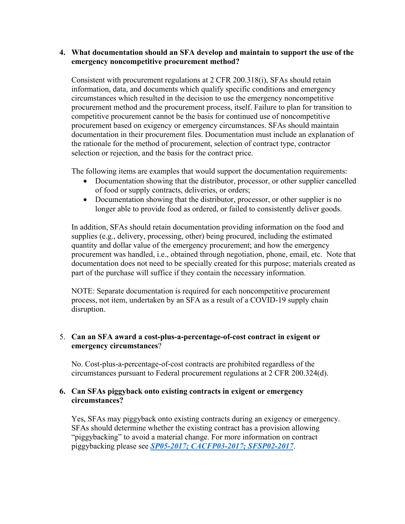#### **4. What documentation should an SFA develop and maintain to support the use of the emergency noncompetitive procurement method?**

Consistent with procurement regulations at 2 CFR 200.318(i), SFAs should retain information, data, and documents which qualify specific conditions and emergency circumstances which resulted in the decision to use the emergency noncompetitive procurement method and the procurement process, itself. Failure to plan for transition to competitive procurement cannot be the basis for continued use of noncompetitive procurement based on exigency or emergency circumstances. SFAs should maintain documentation in their procurement files. Documentation must include an explanation of the rationale for the method of procurement, selection of contract type, contractor selection or rejection, and the basis for the contract price.

The following items are examples that would support the documentation requirements:

- Documentation showing that the distributor, processor, or other supplier cancelled of food or supply contracts, deliveries, or orders;
- Documentation showing that the distributor, processor, or other supplier is no longer able to provide food as ordered, or failed to consistently deliver goods.

In addition, SFAs should retain documentation providing information on the food and supplies (e.g., delivery, processing, other) being procured, including the estimated quantity and dollar value of the emergency procurement; and how the emergency procurement was handled, i.e., obtained through negotiation, phone, email, etc. Note that documentation does not need to be specially created for this purpose; materials created as part of the purchase will suffice if they contain the necessary information.

NOTE: Separate documentation is required for each noncompetitive procurement process, not item, undertaken by an SFA as a result of a COVID-19 supply chain disruption.

## 5. **Can an SFA award a cost-plus-a-percentage-of-cost contract in exigent or emergency circumstances**?

No. Cost-plus-a-percentage-of-cost contracts are prohibited regardless of the circumstances pursuant to Federal procurement regulations at 2 CFR 200.324(d).

## **6. Can SFAs piggyback onto existing contracts in exigent or emergency circumstances?**

Yes, SFAs may piggyback onto existing contracts during an exigency or emergency. SFAs should determine whether the existing contract has a provision allowing "piggybacking" to avoid a material change. For more information on contract piggybacking please see *[SP05-2017; CACFP03-2017; SFSP02-2017](https://www.fns.usda.gov/cn/qa-purchasing-goods-and-services-using-cooperative-agreements-agents-and-third-party-services)*.